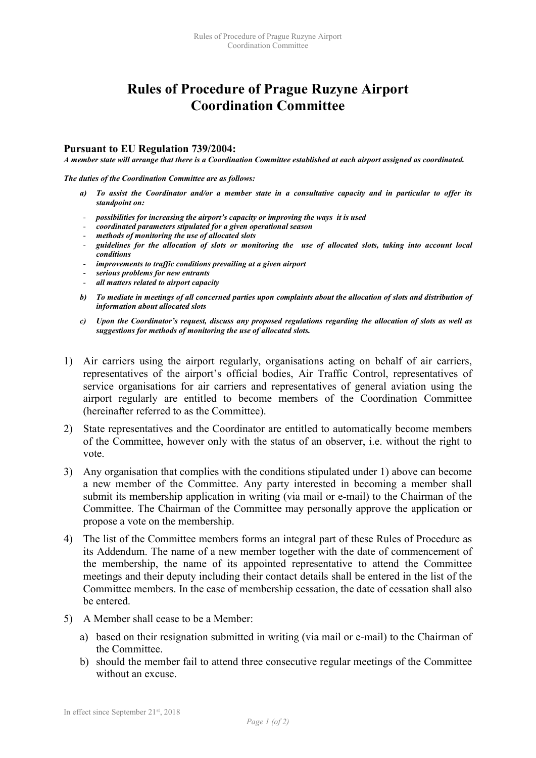## Rules of Procedure of Prague Ruzyne Airport Coordination Committee

## Pursuant to EU Regulation 739/2004:

A member state will arrange that there is a Coordination Committee established at each airport assigned as coordinated.

The duties of the Coordination Committee are as follows:

- a) To assist the Coordinator and/or a member state in a consultative capacity and in particular to offer its standpoint on:
- possibilities for increasing the airport's capacity or improving the ways it is used
- possibilities for increasing the attribution of the coordinated parameters stipulated for a given operational season
- methods of monitoring the use of allocated slots
- guidelines for the allocation of slots or monitoring the use of allocated slots, taking into account local conditions
- improvements to traffic conditions prevailing at a given airport
- serious problems for new entrants
- all matters related to airport capacity
- b) To mediate in meetings of all concerned parties upon complaints about the allocation of slots and distribution of information about allocated slots
- c) Upon the Coordinator's request, discuss any proposed regulations regarding the allocation of slots as well as suggestions for methods of monitoring the use of allocated slots.
- 1) Air carriers using the airport regularly, organisations acting on behalf of air carriers, representatives of the airport's official bodies, Air Traffic Control, representatives of service organisations for air carriers and representatives of general aviation using the airport regularly are entitled to become members of the Coordination Committee (hereinafter referred to as the Committee).
- 2) State representatives and the Coordinator are entitled to automatically become members of the Committee, however only with the status of an observer, i.e. without the right to vote.
- 3) Any organisation that complies with the conditions stipulated under 1) above can become a new member of the Committee. Any party interested in becoming a member shall submit its membership application in writing (via mail or e-mail) to the Chairman of the Committee. The Chairman of the Committee may personally approve the application or propose a vote on the membership.
- 4) The list of the Committee members forms an integral part of these Rules of Procedure as its Addendum. The name of a new member together with the date of commencement of the membership, the name of its appointed representative to attend the Committee meetings and their deputy including their contact details shall be entered in the list of the Committee members. In the case of membership cessation, the date of cessation shall also be entered.
- 5) A Member shall cease to be a Member:
	- a) based on their resignation submitted in writing (via mail or e-mail) to the Chairman of the Committee.
	- b) should the member fail to attend three consecutive regular meetings of the Committee without an excuse.